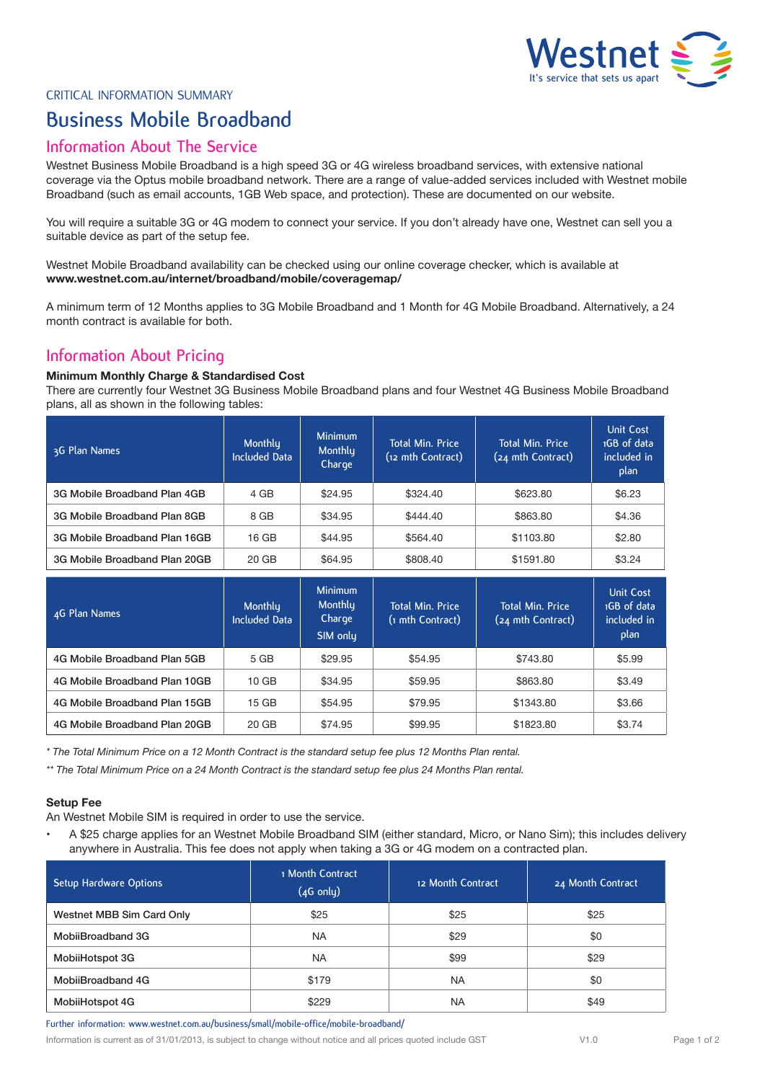

CRITICAL INFORMATION SUMMARY

# **Business Mobile Broadband**

### **Information About The Service**

Westnet Business Mobile Broadband is a high speed 3G or 4G wireless broadband services, with extensive national coverage via the Optus mobile broadband network. There are a range of value-added services included with Westnet mobile Broadband (such as email accounts, 1GB Web space, and protection). These are documented on our website.

You will require a suitable 3G or 4G modem to connect your service. If you don't already have one, Westnet can sell you a suitable device as part of the setup fee.

Westnet Mobile Broadband availability can be checked using our online coverage checker, which is available at **www.westnet.com.au/internet/broadband/mobile/coveragemap/**

A minimum term of 12 Months applies to 3G Mobile Broadband and 1 Month for 4G Mobile Broadband. Alternatively, a 24 month contract is available for both.

# **Information About Pricing**

### **Minimum Monthly Charge & Standardised Cost**

There are currently four Westnet 3G Business Mobile Broadband plans and four Westnet 4G Business Mobile Broadband plans, all as shown in the following tables:

| 3G Plan Names                 | Monthly<br><b>Included Data</b> | <b>Minimum</b><br>Monthly<br>Charge | <b>Total Min. Price</b><br>(12 mth Contract) | <b>Total Min. Price</b><br>(24 mth Contract) | <b>Unit Cost</b><br>1GB of data<br>included in<br>plan |
|-------------------------------|---------------------------------|-------------------------------------|----------------------------------------------|----------------------------------------------|--------------------------------------------------------|
| 3G Mobile Broadband Plan 4GB  | 4 GB                            | \$24.95                             | \$324.40                                     | \$623.80                                     | \$6.23                                                 |
| 3G Mobile Broadband Plan 8GB  | 8 GB                            | \$34.95                             | \$444.40                                     | \$863.80                                     | \$4.36                                                 |
| 3G Mobile Broadband Plan 16GB | 16 GB                           | \$44.95                             | \$564.40                                     | \$1103.80                                    | \$2.80                                                 |
| 3G Mobile Broadband Plan 20GB | 20 GB                           | \$64.95                             | \$808.40                                     | \$1591.80                                    | \$3.24                                                 |

| 4G Plan Names                 | Monthly<br><b>Included Data</b> | <b>Minimum</b><br>Monthly<br>Charge<br>SIM only | <b>Total Min. Price</b><br>(1 mth Contract) | <b>Total Min. Price</b><br>(24 mth Contract) | <b>Unit Cost</b><br>1GB of data<br>included in<br>plan |
|-------------------------------|---------------------------------|-------------------------------------------------|---------------------------------------------|----------------------------------------------|--------------------------------------------------------|
| 4G Mobile Broadband Plan 5GB  | 5 GB                            | \$29.95                                         | \$54.95                                     | \$743.80                                     | \$5.99                                                 |
| 4G Mobile Broadband Plan 10GB | 10 <sub>GB</sub>                | \$34.95                                         | \$59.95                                     | \$863.80                                     | \$3.49                                                 |
| 4G Mobile Broadband Plan 15GB | 15 GB                           | \$54.95                                         | \$79.95                                     | \$1343.80                                    | \$3.66                                                 |
| 4G Mobile Broadband Plan 20GB | 20 GB                           | \$74.95                                         | \$99.95                                     | \$1823.80                                    | \$3.74                                                 |

*\* The Total Minimum Price on a 12 Month Contract is the standard setup fee plus 12 Months Plan rental.*

*\*\* The Total Minimum Price on a 24 Month Contract is the standard setup fee plus 24 Months Plan rental.*

### **Setup Fee**

An Westnet Mobile SIM is required in order to use the service.

A \$25 charge applies for an Westnet Mobile Broadband SIM (either standard, Micro, or Nano Sim); this includes delivery anywhere in Australia. This fee does not apply when taking a 3G or 4G modem on a contracted plan.

| Setup Hardware Options    | 1 Month Contract<br>$(4G \text{ only})$ | 12 Month Contract | 24 Month Contract |
|---------------------------|-----------------------------------------|-------------------|-------------------|
| Westnet MBB Sim Card Only | \$25                                    | \$25              | \$25              |
| MobiiBroadband 3G         | <b>NA</b>                               | \$29              | \$0               |
| MobilHotspot 3G           | <b>NA</b>                               | \$99              | \$29              |
| MobiiBroadband 4G         | \$179                                   | <b>NA</b>         | \$0               |
| MobiiHotspot 4G           | \$229                                   | <b>NA</b>         | \$49              |

**Further information: www.westnet.com.au/business/small/mobile-office/mobile-broadband/**

Information is current as of 31/01/2013, is subject to change without notice and all prices quoted include GST V1.0 Page 1 of 2